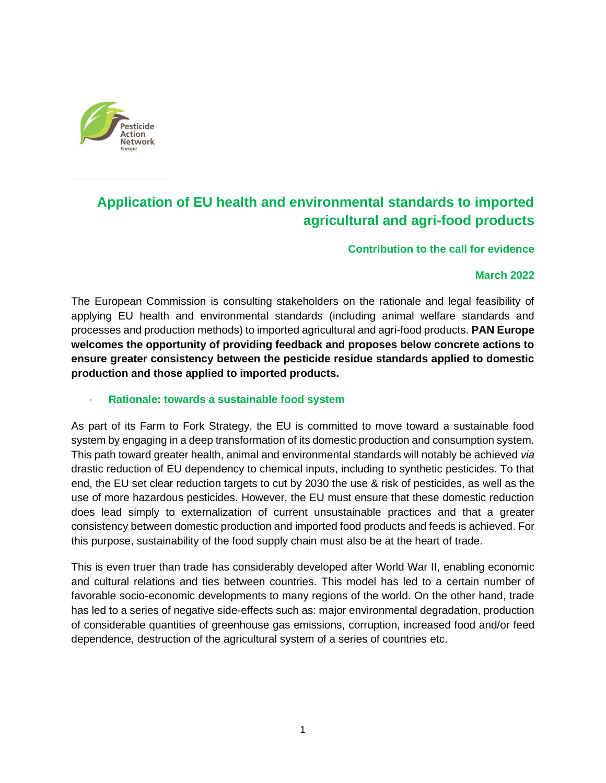

# **Application of EU health and environmental standards to imported agricultural and agri-food products**

**Contribution to the call for evidence**

### **March 2022**

The European Commission is consulting stakeholders on the rationale and legal feasibility of applying EU health and environmental standards (including animal welfare standards and processes and production methods) to imported agricultural and agri-food products. **PAN Europe welcomes the opportunity of providing feedback and proposes below concrete actions to ensure greater consistency between the pesticide residue standards applied to domestic production and those applied to imported products.**

#### · **Rationale: towards a sustainable food system**

As part of its Farm to Fork Strategy, the EU is committed to move toward a sustainable food system by engaging in a deep transformation of its domestic production and consumption system. This path toward greater health, animal and environmental standards will notably be achieved *via*  drastic reduction of EU dependency to chemical inputs, including to synthetic pesticides. To that end, the EU set clear reduction targets to cut by 2030 the use & risk of pesticides, as well as the use of more hazardous pesticides. However, the EU must ensure that these domestic reduction does lead simply to externalization of current unsustainable practices and that a greater consistency between domestic production and imported food products and feeds is achieved. For this purpose, sustainability of the food supply chain must also be at the heart of trade.

This is even truer than trade has considerably developed after World War II, enabling economic and cultural relations and ties between countries. This model has led to a certain number of favorable socio-economic developments to many regions of the world. On the other hand, trade has led to a series of negative side-effects such as: major environmental degradation, production of considerable quantities of greenhouse gas emissions, corruption, increased food and/or feed dependence, destruction of the agricultural system of a series of countries etc.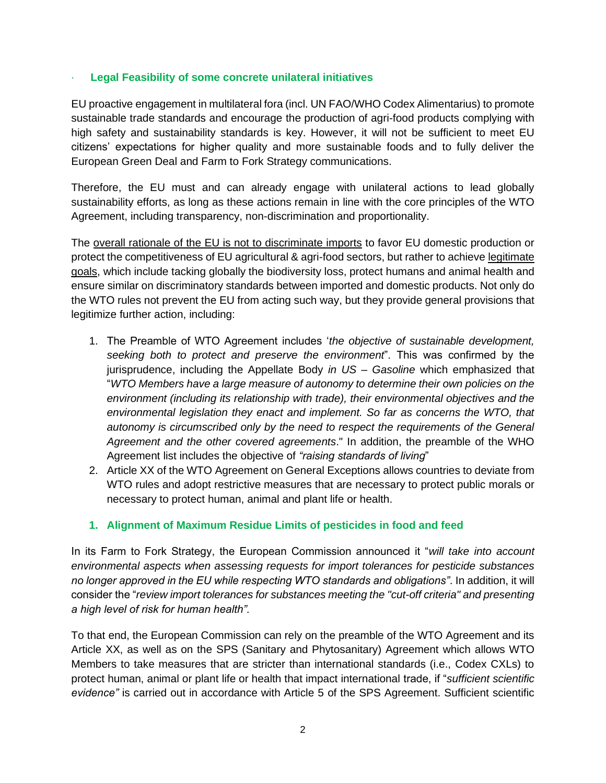### · **Legal Feasibility of some concrete unilateral initiatives**

EU proactive engagement in multilateral fora (incl. UN FAO/WHO Codex Alimentarius) to promote sustainable trade standards and encourage the production of agri-food products complying with high safety and sustainability standards is key. However, it will not be sufficient to meet EU citizens' expectations for higher quality and more sustainable foods and to fully deliver the European Green Deal and Farm to Fork Strategy communications.

Therefore, the EU must and can already engage with unilateral actions to lead globally sustainability efforts, as long as these actions remain in line with the core principles of the WTO Agreement, including transparency, non-discrimination and proportionality.

The overall rationale of the EU is not to discriminate imports to favor EU domestic production or protect the competitiveness of EU agricultural & agri-food sectors, but rather to achieve legitimate goals, which include tacking globally the biodiversity loss, protect humans and animal health and ensure similar on discriminatory standards between imported and domestic products. Not only do the WTO rules not prevent the EU from acting such way, but they provide general provisions that legitimize further action, including:

- 1. The Preamble of WTO Agreement includes '*the objective of sustainable development, seeking both to protect and preserve the environment*". This was confirmed by the jurisprudence, including the Appellate Body *in US – Gasoline* which emphasized that "*WTO Members have a large measure of autonomy to determine their own policies on the environment (including its relationship with trade), their environmental objectives and the environmental legislation they enact and implement. So far as concerns the WTO, that autonomy is circumscribed only by the need to respect the requirements of the General Agreement and the other covered agreements*." In addition, the preamble of the WHO Agreement list includes the objective of *"raising standards of living*"
- 2. Article XX of the WTO Agreement on General Exceptions allows countries to deviate from WTO rules and adopt restrictive measures that are necessary to protect public morals or necessary to protect human, animal and plant life or health.

## **1. Alignment of Maximum Residue Limits of pesticides in food and feed**

In its Farm to Fork Strategy, the European Commission announced it "*will take into account environmental aspects when assessing requests for import tolerances for pesticide substances no longer approved in the EU while respecting WTO standards and obligations"*. In addition, it will consider the "*review import tolerances for substances meeting the "cut-off criteria" and presenting a high level of risk for human health".* 

To that end, the European Commission can rely on the preamble of the WTO Agreement and its Article XX, as well as on the SPS (Sanitary and Phytosanitary) Agreement which allows WTO Members to take measures that are stricter than international standards (i.e., Codex CXLs) to protect human, animal or plant life or health that impact international trade, if "*sufficient scientific evidence"* is carried out in accordance with Article 5 of the SPS Agreement. Sufficient scientific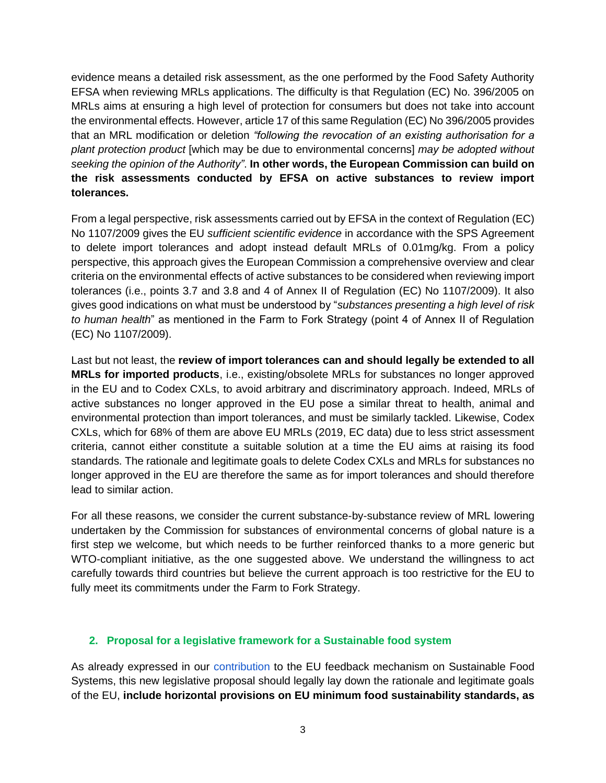evidence means a detailed risk assessment, as the one performed by the Food Safety Authority EFSA when reviewing MRLs applications. The difficulty is that Regulation (EC) No. 396/2005 on MRLs aims at ensuring a high level of protection for consumers but does not take into account the environmental effects. However, article 17 of this same Regulation (EC) No 396/2005 provides that an MRL modification or deletion *"following the revocation of an existing authorisation for a plant protection product* [which may be due to environmental concerns] *may be adopted without seeking the opinion of the Authority"*. **In other words, the European Commission can build on the risk assessments conducted by EFSA on active substances to review import tolerances.** 

From a legal perspective, risk assessments carried out by EFSA in the context of Regulation (EC) No 1107/2009 gives the EU *sufficient scientific evidence* in accordance with the SPS Agreement to delete import tolerances and adopt instead default MRLs of 0.01mg/kg. From a policy perspective, this approach gives the European Commission a comprehensive overview and clear criteria on the environmental effects of active substances to be considered when reviewing import tolerances (i.e., points 3.7 and 3.8 and 4 of Annex II of Regulation (EC) No 1107/2009). It also gives good indications on what must be understood by "*substances presenting a high level of risk to human health*" as mentioned in the Farm to Fork Strategy (point 4 of Annex II of Regulation (EC) No 1107/2009).

Last but not least, the **review of import tolerances can and should legally be extended to all MRLs for imported products**, i.e., existing/obsolete MRLs for substances no longer approved in the EU and to Codex CXLs, to avoid arbitrary and discriminatory approach. Indeed, MRLs of active substances no longer approved in the EU pose a similar threat to health, animal and environmental protection than import tolerances, and must be similarly tackled. Likewise, Codex CXLs, which for 68% of them are above EU MRLs (2019, EC data) due to less strict assessment criteria, cannot either constitute a suitable solution at a time the EU aims at raising its food standards. The rationale and legitimate goals to delete Codex CXLs and MRLs for substances no longer approved in the EU are therefore the same as for import tolerances and should therefore lead to similar action.

For all these reasons, we consider the current substance-by-substance review of MRL lowering undertaken by the Commission for substances of environmental concerns of global nature is a first step we welcome, but which needs to be further reinforced thanks to a more generic but WTO-compliant initiative, as the one suggested above. We understand the willingness to act carefully towards third countries but believe the current approach is too restrictive for the EU to fully meet its commitments under the Farm to Fork Strategy.

## **2. Proposal for a legislative framework for a Sustainable food system**

As already expressed in our [contribution](https://ec.europa.eu/info/law/better-regulation/have-your-say/initiatives/13174-Sustainable-EU-food-system-new-initiative/details/F2745666_en) to the EU feedback mechanism on Sustainable Food Systems, this new legislative proposal should legally lay down the rationale and legitimate goals of the EU, **include horizontal provisions on EU minimum food sustainability standards, as**